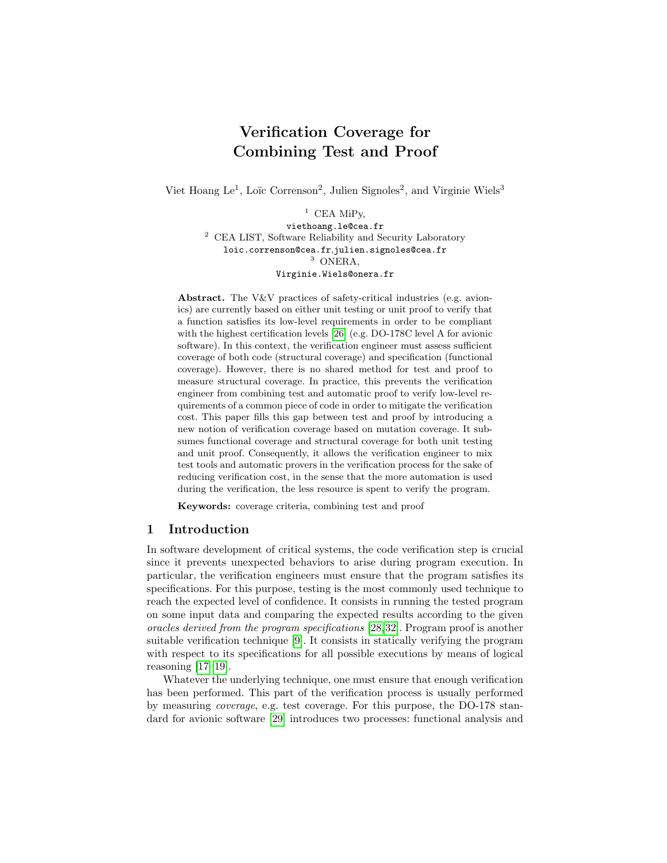# Verification Coverage for Combining Test and Proof

Viet Hoang Le<sup>1</sup>, Loïc Correnson<sup>2</sup>, Julien Signoles<sup>2</sup>, and Virginie Wiels<sup>3</sup>

 $1$  CEA MiPy, viethoang.le@cea.fr <sup>2</sup> CEA LIST, Software Reliability and Security Laboratory loic.correnson@cea.fr,julien.signoles@cea.fr <sup>3</sup> ONERA, Virginie.Wiels@onera.fr

Abstract. The V&V practices of safety-critical industries (e.g. avionics) are currently based on either unit testing or unit proof to verify that a function satisfies its low-level requirements in order to be compliant with the highest certification levels [\[26\]](#page-17-0) (e.g. DO-178C level A for avionic software). In this context, the verification engineer must assess sufficient coverage of both code (structural coverage) and specification (functional coverage). However, there is no shared method for test and proof to measure structural coverage. In practice, this prevents the verification engineer from combining test and automatic proof to verify low-level requirements of a common piece of code in order to mitigate the verification cost. This paper fills this gap between test and proof by introducing a new notion of verification coverage based on mutation coverage. It subsumes functional coverage and structural coverage for both unit testing and unit proof. Consequently, it allows the verification engineer to mix test tools and automatic provers in the verification process for the sake of reducing verification cost, in the sense that the more automation is used during the verification, the less resource is spent to verify the program.

Keywords: coverage criteria, combining test and proof

# 1 Introduction

In software development of critical systems, the code verification step is crucial since it prevents unexpected behaviors to arise during program execution. In particular, the verification engineers must ensure that the program satisfies its specifications. For this purpose, testing is the most commonly used technique to reach the expected level of confidence. It consists in running the tested program on some input data and comparing the expected results according to the given oracles derived from the program specifications [\[28,](#page-17-1)[32\]](#page-17-2). Program proof is another suitable verification technique [\[9\]](#page-16-0). It consists in statically verifying the program with respect to its specifications for all possible executions by means of logical reasoning  $[17-19]$  $[17-19]$ .

Whatever the underlying technique, one must ensure that enough verification has been performed. This part of the verification process is usually performed by measuring coverage, e.g. test coverage. For this purpose, the DO-178 standard for avionic software [\[29\]](#page-17-3) introduces two processes: functional analysis and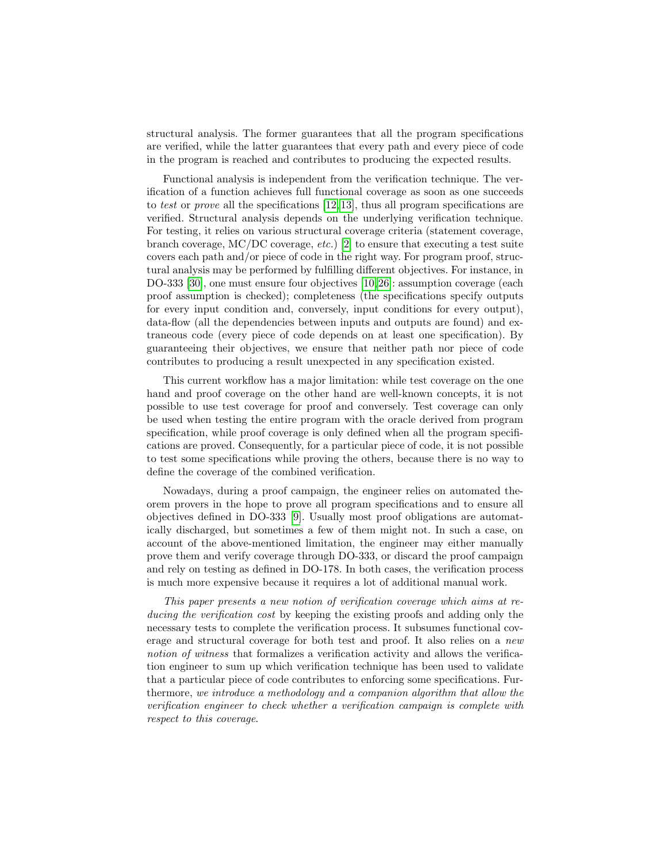structural analysis. The former guarantees that all the program specifications are verified, while the latter guarantees that every path and every piece of code in the program is reached and contributes to producing the expected results.

Functional analysis is independent from the verification technique. The verification of a function achieves full functional coverage as soon as one succeeds to test or prove all the specifications [\[12,](#page-16-3) [13\]](#page-16-4), thus all program specifications are verified. Structural analysis depends on the underlying verification technique. For testing, it relies on various structural coverage criteria (statement coverage, branch coverage,  $MC/DC$  coverage, *etc.*) [\[2\]](#page-16-5) to ensure that executing a test suite covers each path and/or piece of code in the right way. For program proof, structural analysis may be performed by fulfilling different objectives. For instance, in DO-333 [\[30\]](#page-17-4), one must ensure four objectives [\[10,](#page-16-6)[26\]](#page-17-0): assumption coverage (each proof assumption is checked); completeness (the specifications specify outputs for every input condition and, conversely, input conditions for every output), data-flow (all the dependencies between inputs and outputs are found) and extraneous code (every piece of code depends on at least one specification). By guaranteeing their objectives, we ensure that neither path nor piece of code contributes to producing a result unexpected in any specification existed.

This current workflow has a major limitation: while test coverage on the one hand and proof coverage on the other hand are well-known concepts, it is not possible to use test coverage for proof and conversely. Test coverage can only be used when testing the entire program with the oracle derived from program specification, while proof coverage is only defined when all the program specifications are proved. Consequently, for a particular piece of code, it is not possible to test some specifications while proving the others, because there is no way to define the coverage of the combined verification.

Nowadays, during a proof campaign, the engineer relies on automated theorem provers in the hope to prove all program specifications and to ensure all objectives defined in DO-333 [\[9\]](#page-16-0). Usually most proof obligations are automatically discharged, but sometimes a few of them might not. In such a case, on account of the above-mentioned limitation, the engineer may either manually prove them and verify coverage through DO-333, or discard the proof campaign and rely on testing as defined in DO-178. In both cases, the verification process is much more expensive because it requires a lot of additional manual work.

This paper presents a new notion of verification coverage which aims at reducing the verification cost by keeping the existing proofs and adding only the necessary tests to complete the verification process. It subsumes functional coverage and structural coverage for both test and proof. It also relies on a new notion of witness that formalizes a verification activity and allows the verification engineer to sum up which verification technique has been used to validate that a particular piece of code contributes to enforcing some specifications. Furthermore, we introduce a methodology and a companion algorithm that allow the verification engineer to check whether a verification campaign is complete with respect to this coverage.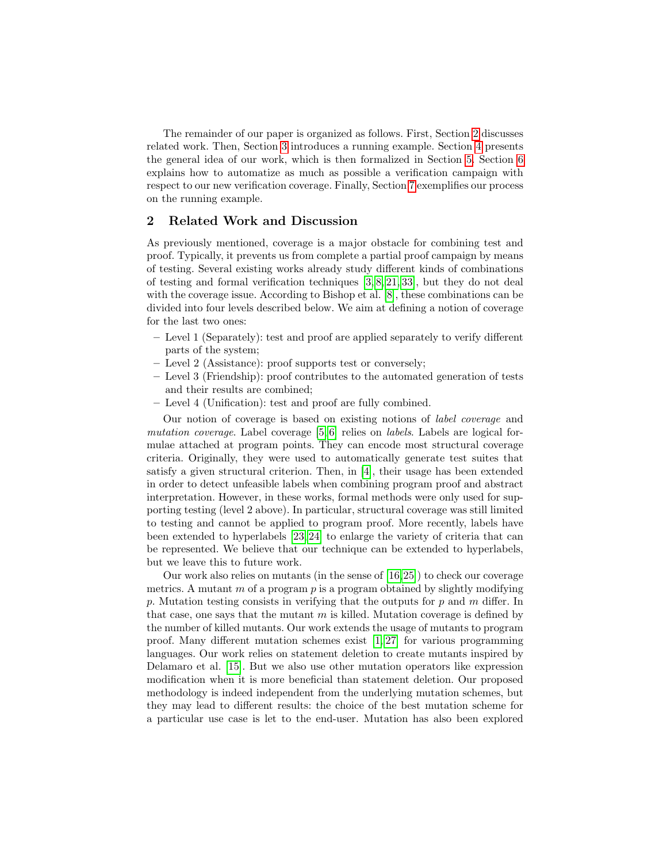The remainder of our paper is organized as follows. First, Section [2](#page-2-0) discusses related work. Then, Section [3](#page-3-0) introduces a running example. Section [4](#page-4-0) presents the general idea of our work, which is then formalized in Section [5.](#page-7-0) Section [6](#page-10-0) explains how to automatize as much as possible a verification campaign with respect to our new verification coverage. Finally, Section [7](#page-13-0) exemplifies our process on the running example.

# <span id="page-2-0"></span>2 Related Work and Discussion

As previously mentioned, coverage is a major obstacle for combining test and proof. Typically, it prevents us from complete a partial proof campaign by means of testing. Several existing works already study different kinds of combinations of testing and formal verification techniques [\[3,](#page-16-7) [8,](#page-16-8) [21,](#page-17-5) [33\]](#page-17-6), but they do not deal with the coverage issue. According to Bishop et al. [\[8\]](#page-16-8), these combinations can be divided into four levels described below. We aim at defining a notion of coverage for the last two ones:

- Level 1 (Separately): test and proof are applied separately to verify different parts of the system;
- Level 2 (Assistance): proof supports test or conversely;
- Level 3 (Friendship): proof contributes to the automated generation of tests and their results are combined;
- Level 4 (Unification): test and proof are fully combined.

Our notion of coverage is based on existing notions of label coverage and mutation coverage. Label coverage [\[5,](#page-16-9) [6\]](#page-16-10) relies on labels. Labels are logical formulae attached at program points. They can encode most structural coverage criteria. Originally, they were used to automatically generate test suites that satisfy a given structural criterion. Then, in [\[4\]](#page-16-11), their usage has been extended in order to detect unfeasible labels when combining program proof and abstract interpretation. However, in these works, formal methods were only used for supporting testing (level 2 above). In particular, structural coverage was still limited to testing and cannot be applied to program proof. More recently, labels have been extended to hyperlabels [\[23,](#page-17-7) [24\]](#page-17-8) to enlarge the variety of criteria that can be represented. We believe that our technique can be extended to hyperlabels, but we leave this to future work.

Our work also relies on mutants (in the sense of [\[16,](#page-16-12)[25\]](#page-17-9)) to check our coverage metrics. A mutant  $m$  of a program  $p$  is a program obtained by slightly modifying p. Mutation testing consists in verifying that the outputs for p and  $m$  differ. In that case, one says that the mutant  $m$  is killed. Mutation coverage is defined by the number of killed mutants. Our work extends the usage of mutants to program proof. Many different mutation schemes exist [\[1,](#page-16-13) [27\]](#page-17-10) for various programming languages. Our work relies on statement deletion to create mutants inspired by Delamaro et al. [\[15\]](#page-16-14). But we also use other mutation operators like expression modification when it is more beneficial than statement deletion. Our proposed methodology is indeed independent from the underlying mutation schemes, but they may lead to different results: the choice of the best mutation scheme for a particular use case is let to the end-user. Mutation has also been explored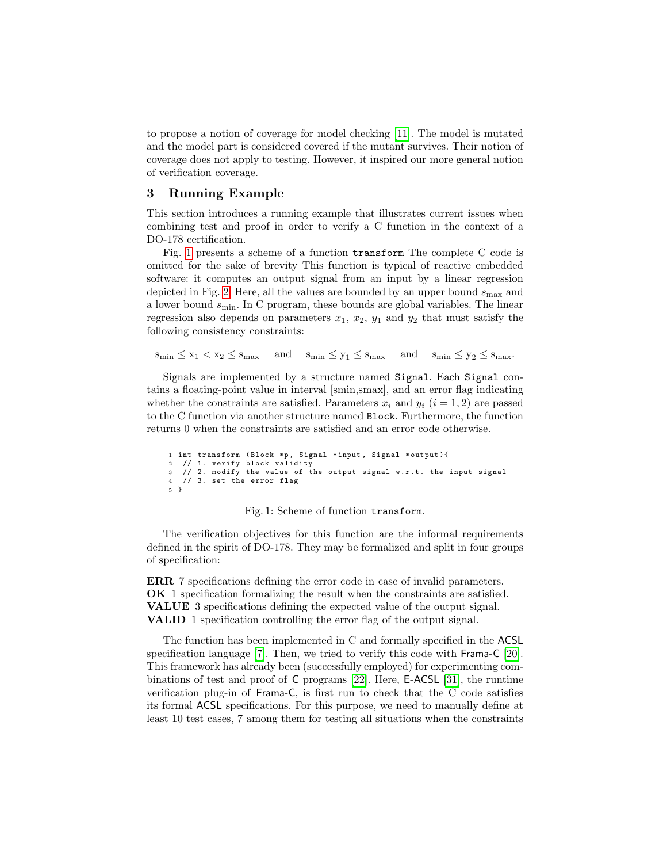to propose a notion of coverage for model checking [\[11\]](#page-16-15). The model is mutated and the model part is considered covered if the mutant survives. Their notion of coverage does not apply to testing. However, it inspired our more general notion of verification coverage.

# <span id="page-3-0"></span>3 Running Example

This section introduces a running example that illustrates current issues when combining test and proof in order to verify a C function in the context of a DO-178 certification.

Fig. [1](#page-3-1) presents a scheme of a function transform The complete C code is omitted for the sake of brevity This function is typical of reactive embedded software: it computes an output signal from an input by a linear regression depicted in Fig. [2.](#page-4-1) Here, all the values are bounded by an upper bound  $s_{\text{max}}$  and a lower bound  $s_{\min}$ . In C program, these bounds are global variables. The linear regression also depends on parameters  $x_1, x_2, y_1$  and  $y_2$  that must satisfy the following consistency constraints:

 $s_{\min} \leq x_1 < x_2 \leq s_{\max}$  and  $s_{\min} \leq y_1 \leq s_{\max}$  and  $s_{\min} \leq y_2 \leq s_{\max}$ .

Signals are implemented by a structure named Signal. Each Signal contains a floating-point value in interval [smin,smax], and an error flag indicating whether the constraints are satisfied. Parameters  $x_i$  and  $y_i$  ( $i = 1, 2$ ) are passed to the C function via another structure named Block. Furthermore, the function returns 0 when the constraints are satisfied and an error code otherwise.

```
1 int transform (Block *p, Signal *input, Signal *output){
2 // 1. verify block validity
3 // 2. modify the value of the output signal w.r.t. the input signal<br>4 // 3. set the error flag
5 }
```
#### Fig. 1: Scheme of function transform.

The verification objectives for this function are the informal requirements defined in the spirit of DO-178. They may be formalized and split in four groups of specification:

ERR 7 specifications defining the error code in case of invalid parameters. OK 1 specification formalizing the result when the constraints are satisfied. VALUE 3 specifications defining the expected value of the output signal. VALID 1 specification controlling the error flag of the output signal.

The function has been implemented in C and formally specified in the ACSL specification language [\[7\]](#page-16-16). Then, we tried to verify this code with Frama-C [\[20\]](#page-17-11). This framework has already been (successfully employed) for experimenting combinations of test and proof of C programs [\[22\]](#page-17-12). Here, E-ACSL [\[31\]](#page-17-13), the runtime verification plug-in of Frama-C, is first run to check that the C code satisfies its formal ACSL specifications. For this purpose, we need to manually define at least 10 test cases, 7 among them for testing all situations when the constraints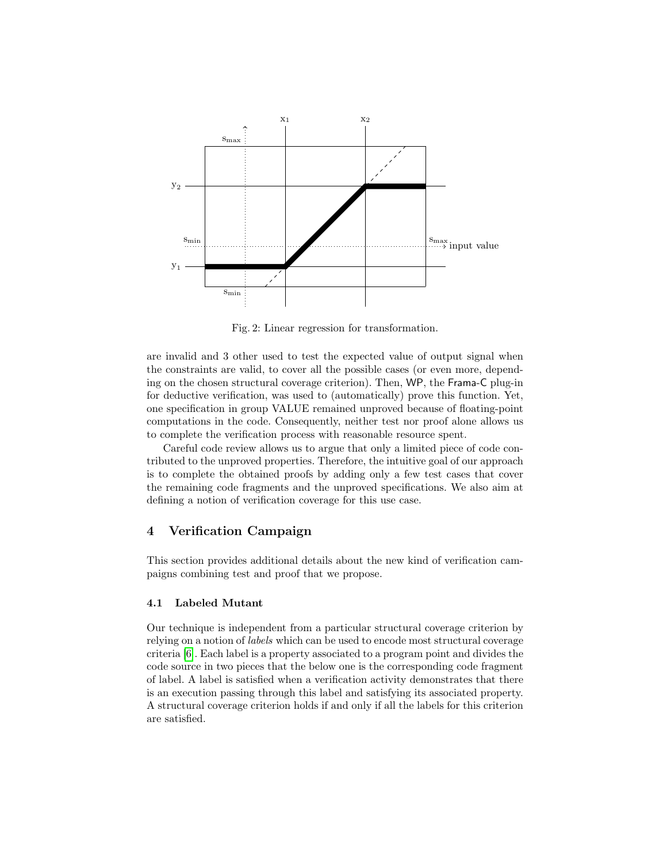<span id="page-4-1"></span>

Fig. 2: Linear regression for transformation.

are invalid and 3 other used to test the expected value of output signal when the constraints are valid, to cover all the possible cases (or even more, depending on the chosen structural coverage criterion). Then, WP, the Frama-C plug-in for deductive verification, was used to (automatically) prove this function. Yet, one specification in group VALUE remained unproved because of floating-point computations in the code. Consequently, neither test nor proof alone allows us to complete the verification process with reasonable resource spent.

Careful code review allows us to argue that only a limited piece of code contributed to the unproved properties. Therefore, the intuitive goal of our approach is to complete the obtained proofs by adding only a few test cases that cover the remaining code fragments and the unproved specifications. We also aim at defining a notion of verification coverage for this use case.

# <span id="page-4-0"></span>4 Verification Campaign

This section provides additional details about the new kind of verification campaigns combining test and proof that we propose.

### <span id="page-4-2"></span>4.1 Labeled Mutant

Our technique is independent from a particular structural coverage criterion by relying on a notion of labels which can be used to encode most structural coverage criteria [\[6\]](#page-16-10). Each label is a property associated to a program point and divides the code source in two pieces that the below one is the corresponding code fragment of label. A label is satisfied when a verification activity demonstrates that there is an execution passing through this label and satisfying its associated property. A structural coverage criterion holds if and only if all the labels for this criterion are satisfied.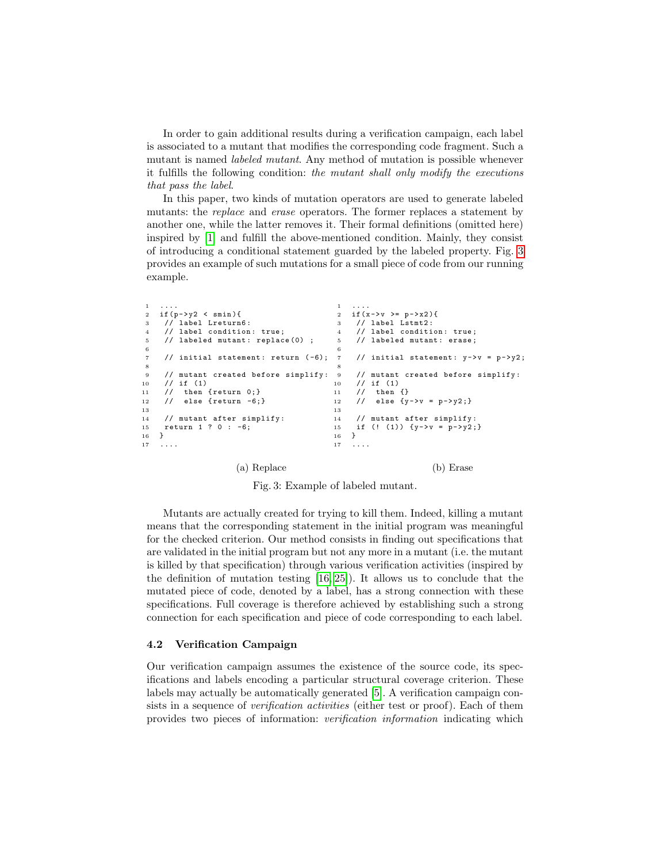In order to gain additional results during a verification campaign, each label is associated to a mutant that modifies the corresponding code fragment. Such a mutant is named *labeled mutant*. Any method of mutation is possible whenever it fulfills the following condition: the mutant shall only modify the executions that pass the label.

In this paper, two kinds of mutation operators are used to generate labeled mutants: the *replace* and *erase* operators. The former replaces a statement by another one, while the latter removes it. Their formal definitions (omitted here) inspired by [\[1\]](#page-16-13) and fulfill the above-mentioned condition. Mainly, they consist of introducing a conditional statement guarded by the labeled property. Fig. [3](#page-5-0) provides an example of such mutations for a small piece of code from our running example.

```
1 ....
2 if (p - y^2 < sinin) {
3 // label Lreturn6 :
4 // label condition: true;
5 // labeled mutant: replace (0);
6
7 / initial statement: return (-6); 7
8
9 // mutant created before simplify: 9
10 // if (1)
11 // then { return 0;}
12 // else { return -6;}
13
14 // mutant after simplify :
15 return 1 ? 0 : -6;<br>16 }
16 }
171 ....<br>2 if (x -> v) = p -> x^23 // label Lstmt2 :
                                           4 // label condition: true;
                                           5 // labeled mutant: erase;
                                            6
                                               // initial statement: y - >y = p - >y2;
                                            8
                                               // mutant created before simplify:
                                          10 // if (1)
                                           11 // then {}
12 // else {y ->v = p -> y2 ;}
                                          13
                                          14 // mutant after simplify :
                                          15 if (! (1)) \{y - \gt y = p - \gt y2;\}16 }
                                           17
```
(a) Replace

(b) Erase



Mutants are actually created for trying to kill them. Indeed, killing a mutant means that the corresponding statement in the initial program was meaningful for the checked criterion. Our method consists in finding out specifications that are validated in the initial program but not any more in a mutant (i.e. the mutant is killed by that specification) through various verification activities (inspired by the definition of mutation testing [\[16,](#page-16-12) [25\]](#page-17-9)). It allows us to conclude that the mutated piece of code, denoted by a label, has a strong connection with these specifications. Full coverage is therefore achieved by establishing such a strong connection for each specification and piece of code corresponding to each label.

#### 4.2 Verification Campaign

Our verification campaign assumes the existence of the source code, its specifications and labels encoding a particular structural coverage criterion. These labels may actually be automatically generated [\[5\]](#page-16-9). A verification campaign consists in a sequence of *verification activities* (either test or proof). Each of them provides two pieces of information: verification information indicating which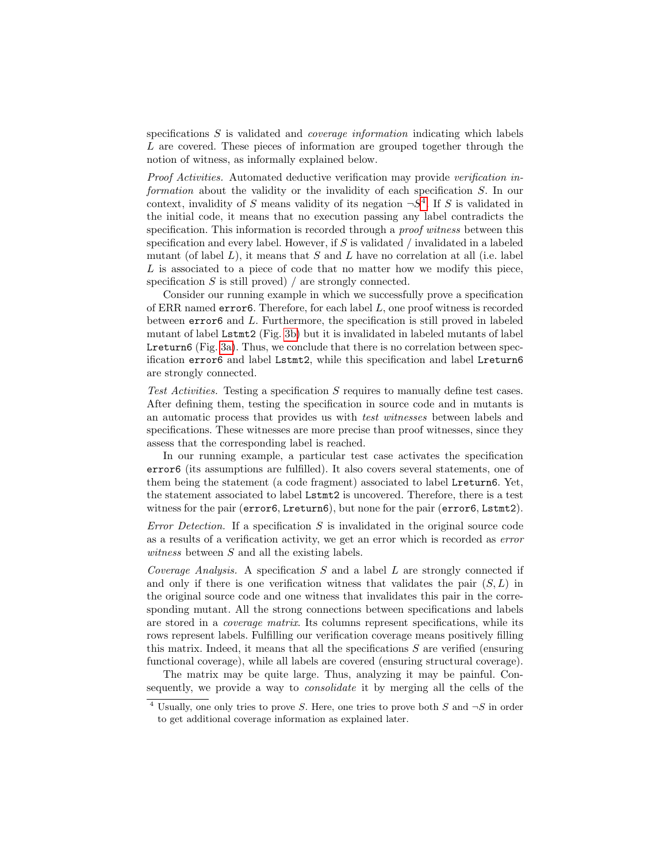specifications S is validated and *coverage information* indicating which labels L are covered. These pieces of information are grouped together through the notion of witness, as informally explained below.

Proof Activities. Automated deductive verification may provide verification information about the validity or the invalidity of each specification S. In our context, invalidity of S means validity of its negation  $\neg S^4$  $\neg S^4$ . If S is validated in the initial code, it means that no execution passing any label contradicts the specification. This information is recorded through a *proof witness* between this specification and every label. However, if  $S$  is validated  $/$  invalidated in a labeled mutant (of label L), it means that S and L have no correlation at all (i.e. label  $L$  is associated to a piece of code that no matter how we modify this piece, specification  $S$  is still proved)  $/$  are strongly connected.

Consider our running example in which we successfully prove a specification of ERR named error6. Therefore, for each label  $L$ , one proof witness is recorded between error6 and L. Furthermore, the specification is still proved in labeled mutant of label Lstmt2 (Fig. [3b\)](#page-5-0) but it is invalidated in labeled mutants of label Lreturn6 (Fig. [3a\)](#page-5-0). Thus, we conclude that there is no correlation between specification error6 and label Lstmt2, while this specification and label Lreturn6 are strongly connected.

Test Activities. Testing a specification S requires to manually define test cases. After defining them, testing the specification in source code and in mutants is an automatic process that provides us with test witnesses between labels and specifications. These witnesses are more precise than proof witnesses, since they assess that the corresponding label is reached.

In our running example, a particular test case activates the specification error6 (its assumptions are fulfilled). It also covers several statements, one of them being the statement (a code fragment) associated to label Lreturn6. Yet, the statement associated to label Lstmt2 is uncovered. Therefore, there is a test witness for the pair (error6, Lreturn6), but none for the pair (error6, Lstmt2).

Error Detection. If a specification  $S$  is invalidated in the original source code as a results of a verification activity, we get an error which is recorded as error witness between S and all the existing labels.

Coverage Analysis. A specification  $S$  and a label  $L$  are strongly connected if and only if there is one verification witness that validates the pair  $(S, L)$  in the original source code and one witness that invalidates this pair in the corresponding mutant. All the strong connections between specifications and labels are stored in a coverage matrix. Its columns represent specifications, while its rows represent labels. Fulfilling our verification coverage means positively filling this matrix. Indeed, it means that all the specifications  $S$  are verified (ensuring functional coverage), while all labels are covered (ensuring structural coverage).

The matrix may be quite large. Thus, analyzing it may be painful. Consequently, we provide a way to consolidate it by merging all the cells of the

<span id="page-6-0"></span><sup>&</sup>lt;sup>4</sup> Usually, one only tries to prove S. Here, one tries to prove both S and  $\neg S$  in order to get additional coverage information as explained later.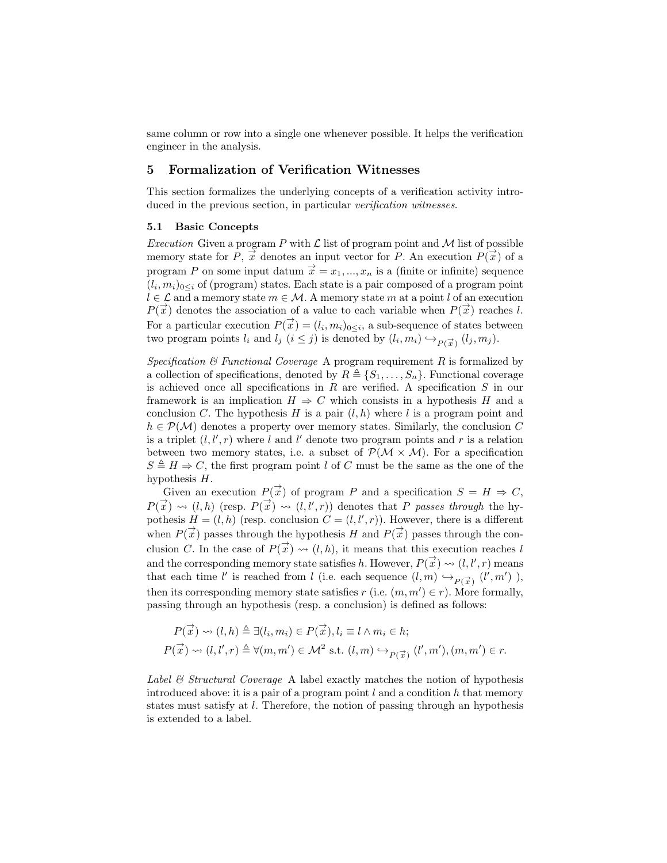same column or row into a single one whenever possible. It helps the verification engineer in the analysis.

# <span id="page-7-0"></span>5 Formalization of Verification Witnesses

This section formalizes the underlying concepts of a verification activity introduced in the previous section, in particular *verification witnesses*.

### 5.1 Basic Concepts

*Execution* Given a program P with  $\mathcal L$  list of program point and  $\mathcal M$  list of possible memory state for P,  $\overrightarrow{x}$  denotes an input vector for P. An execution  $P(\vec{x})$  of a program P on some input datum  $\vec{x} = x_1, ..., x_n$  is a (finite or infinite) sequence  $(l_i, m_i)_{0 \leq i}$  of (program) states. Each state is a pair composed of a program point  $l \in \mathcal{L}$  and a memory state  $m \in \mathcal{M}$ . A memory state m at a point l of an execution  $P(\vec{x})$  denotes the association of a value to each variable when  $P(\vec{x})$  reaches l. For a particular execution  $P(\vec{x}) = (l_i, m_i)_{0 \leq i}$ , a sub-sequence of states between two program points  $l_i$  and  $l_j$   $(i \leq j)$  is denoted by  $(l_i, m_i) \hookrightarrow_{P(\overrightarrow{x})} (l_j, m_j)$ .

Specification  $\mathcal B$  Functional Coverage A program requirement R is formalized by a collection of specifications, denoted by  $R \triangleq \{S_1, \ldots, S_n\}$ . Functional coverage is achieved once all specifications in  $R$  are verified. A specification  $S$  in our framework is an implication  $H \Rightarrow C$  which consists in a hypothesis H and a conclusion C. The hypothesis H is a pair  $(l, h)$  where l is a program point and  $h \in \mathcal{P}(\mathcal{M})$  denotes a property over memory states. Similarly, the conclusion C is a triplet  $(l, l', r)$  where l and l' denote two program points and r is a relation between two memory states, i.e. a subset of  $\mathcal{P}(\mathcal{M} \times \mathcal{M})$ . For a specification  $S \triangleq H \Rightarrow C$ , the first program point l of C must be the same as the one of the hypothesis H.

Given an execution  $P(\vec{x})$  of program P and a specification  $S = H \Rightarrow C$ ,  $P(\vec{x}) \rightsquigarrow (l, h)$  (resp.  $P(\vec{x}) \rightsquigarrow (l, l', r)$ ) denotes that P passes through the hypothesis  $H = (l, h)$  (resp. conclusion  $C = (l, l', r)$ ). However, there is a different when  $P(\vec{x})$  passes through the hypothesis H and  $P(\vec{x})$  passes through the conclusion C. In the case of  $P(\vec{x}) \rightsquigarrow (l, h)$ , it means that this execution reaches l and the corresponding memory state satisfies h. However,  $P(\vec{x}) \rightsquigarrow (l, l', r)$  means that each time l' is reached from l (i.e. each sequence  $(l,m) \hookrightarrow_{P(\vec{x})} (l',m')$ ), then its corresponding memory state satisfies r (i.e.  $(m, m') \in r$ ). More formally, passing through an hypothesis (resp. a conclusion) is defined as follows:

$$
P(\vec{x}) \rightsquigarrow (l, h) \triangleq \exists (l_i, m_i) \in P(\vec{x}), l_i \equiv l \land m_i \in h;
$$
  

$$
P(\vec{x}) \rightsquigarrow (l, l', r) \triangleq \forall (m, m') \in \mathcal{M}^2 \text{ s.t. } (l, m) \hookrightarrow_{P(\vec{x})} (l', m'), (m, m') \in r.
$$

Label  $\mathcal B$  Structural Coverage A label exactly matches the notion of hypothesis introduced above: it is a pair of a program point  $l$  and a condition h that memory states must satisfy at l. Therefore, the notion of passing through an hypothesis is extended to a label.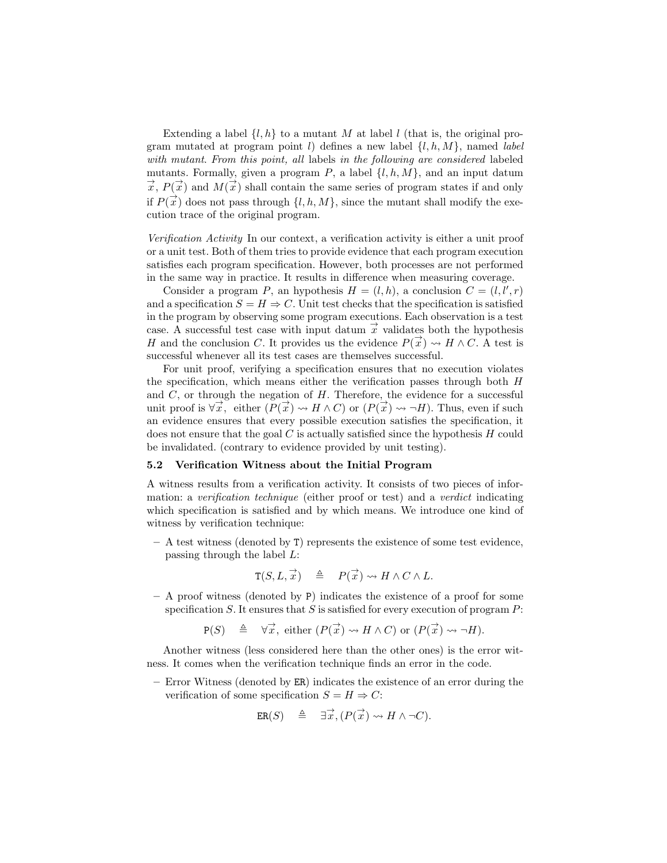Extending a label  $\{l, h\}$  to a mutant M at label l (that is, the original program mutated at program point l) defines a new label  $\{l, h, M\}$ , named *label* with mutant. From this point, all labels in the following are considered labeled mutants. Formally, given a program  $P$ , a label  $\{l, h, M\}$ , and an input datum  $\vec{x}$ ,  $P(\vec{x})$  and  $M(\vec{x})$  shall contain the same series of program states if and only if  $P(\vec{x})$  does not pass through  $\{l, h, M\}$ , since the mutant shall modify the execution trace of the original program.

Verification Activity In our context, a verification activity is either a unit proof or a unit test. Both of them tries to provide evidence that each program execution satisfies each program specification. However, both processes are not performed in the same way in practice. It results in difference when measuring coverage.

Consider a program P, an hypothesis  $H = (l, h)$ , a conclusion  $C = (l, l', r)$ and a specification  $S = H \Rightarrow C$ . Unit test checks that the specification is satisfied in the program by observing some program executions. Each observation is a test case. A successful test case with input datum  $\vec{x}$  validates both the hypothesis H and the conclusion C. It provides us the evidence  $P(\vec{x}) \rightsquigarrow H \wedge C$ . A test is successful whenever all its test cases are themselves successful.

For unit proof, verifying a specification ensures that no execution violates the specification, which means either the verification passes through both H and  $C$ , or through the negation of  $H$ . Therefore, the evidence for a successful unit proof is  $\forall x \rightarrow^{\infty}$  either  $(P(\vec{x}) \rightarrow H \wedge C)$  or  $(P(\vec{x}) \rightarrow H)$ . Thus, even if such an evidence ensures that every possible execution satisfies the specification, it does not ensure that the goal C is actually satisfied since the hypothesis  $H$  could be invalidated. (contrary to evidence provided by unit testing).

#### 5.2 Verification Witness about the Initial Program

A witness results from a verification activity. It consists of two pieces of information: a verification technique (either proof or test) and a verdict indicating which specification is satisfied and by which means. We introduce one kind of witness by verification technique:

– A test witness (denoted by T) represents the existence of some test evidence, passing through the label L:

$$
\mathrm{T}(S, L, \overrightarrow{x}) \quad \triangleq \quad P(\overrightarrow{x}) \rightsquigarrow H \wedge C \wedge L.
$$

– A proof witness (denoted by P) indicates the existence of a proof for some specification S. It ensures that S is satisfied for every execution of program  $P$ :

$$
P(S) \triangleq \forall \vec{x}
$$
, either  $(P(\vec{x}) \rightsquigarrow H \wedge C)$  or  $(P(\vec{x}) \rightsquigarrow \neg H)$ .

Another witness (less considered here than the other ones) is the error witness. It comes when the verification technique finds an error in the code.

– Error Witness (denoted by ER) indicates the existence of an error during the verification of some specification  $S = H \Rightarrow C$ :

$$
ER(S) \triangleq \exists \overrightarrow{x}, (P(\overrightarrow{x}) \rightsquigarrow H \wedge \neg C).
$$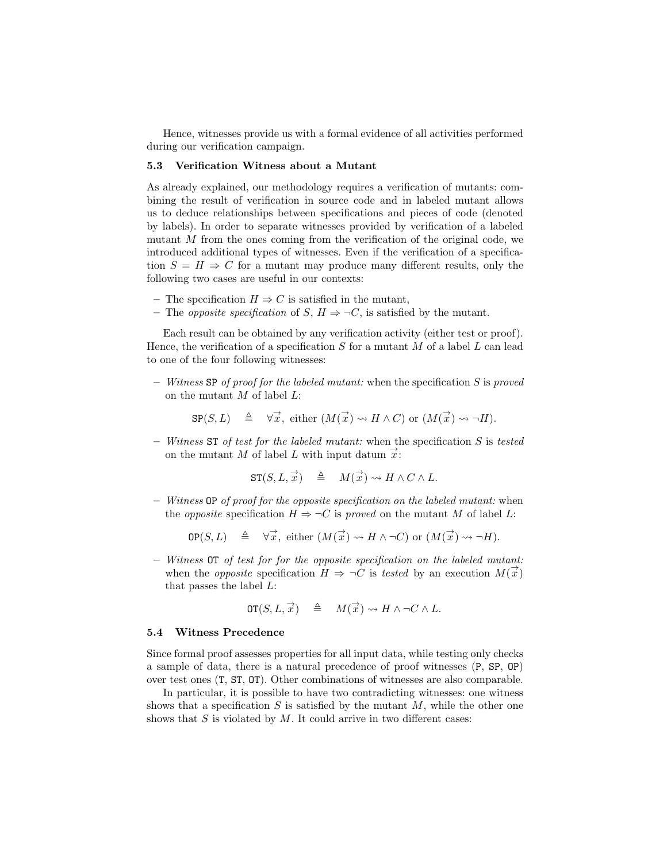Hence, witnesses provide us with a formal evidence of all activities performed during our verification campaign.

#### 5.3 Verification Witness about a Mutant

As already explained, our methodology requires a verification of mutants: combining the result of verification in source code and in labeled mutant allows us to deduce relationships between specifications and pieces of code (denoted by labels). In order to separate witnesses provided by verification of a labeled mutant  $M$  from the ones coming from the verification of the original code, we introduced additional types of witnesses. Even if the verification of a specification  $S = H \Rightarrow C$  for a mutant may produce many different results, only the following two cases are useful in our contexts:

- The specification  $H \Rightarrow C$  is satisfied in the mutant,
- The opposite specification of S,  $H \Rightarrow \neg C$ , is satisfied by the mutant.

Each result can be obtained by any verification activity (either test or proof). Hence, the verification of a specification  $S$  for a mutant  $M$  of a label  $L$  can lead to one of the four following witnesses:

– Witness SP of proof for the labeled mutant: when the specification S is proved on the mutant  $M$  of label  $L$ :

$$
\textsf{SP}(S, L) \quad \triangleq \quad \forall \vec{x}, \text{ either } (M(\vec{x}) \rightsquigarrow H \wedge C) \text{ or } (M(\vec{x}) \rightsquigarrow \neg H).
$$

 $-$  Witness ST of test for the labeled mutant: when the specification S is tested on the mutant M of label L with input datum  $\vec{x}$ :

$$
\texttt{ST}(S, L, \overrightarrow{x}) \quad \triangleq \quad M(\overrightarrow{x}) \rightsquigarrow H \wedge C \wedge L.
$$

 $-$  Witness QP of proof for the opposite specification on the labeled mutant: when the *opposite* specification  $H \Rightarrow \neg C$  is proved on the mutant M of label L:

$$
\text{OP}(S, L) \quad \triangleq \quad \forall \vec{x}, \text{ either } (M(\vec{x}) \rightsquigarrow H \land \neg C) \text{ or } (M(\vec{x}) \rightsquigarrow \neg H).
$$

– Witness OT of test for for the opposite specification on the labeled mutant: when the *opposite* specification  $H \Rightarrow \neg C$  is tested by an execution  $M(\vec{x})$ that passes the label L:

$$
\texttt{OT}(S, L, \overrightarrow{x}) \quad \triangleq \quad M(\overrightarrow{x}) \rightsquigarrow H \land \neg C \land L.
$$

#### 5.4 Witness Precedence

Since formal proof assesses properties for all input data, while testing only checks a sample of data, there is a natural precedence of proof witnesses (P, SP, OP) over test ones (T, ST, OT). Other combinations of witnesses are also comparable.

In particular, it is possible to have two contradicting witnesses: one witness shows that a specification  $S$  is satisfied by the mutant  $M$ , while the other one shows that  $S$  is violated by  $M$ . It could arrive in two different cases: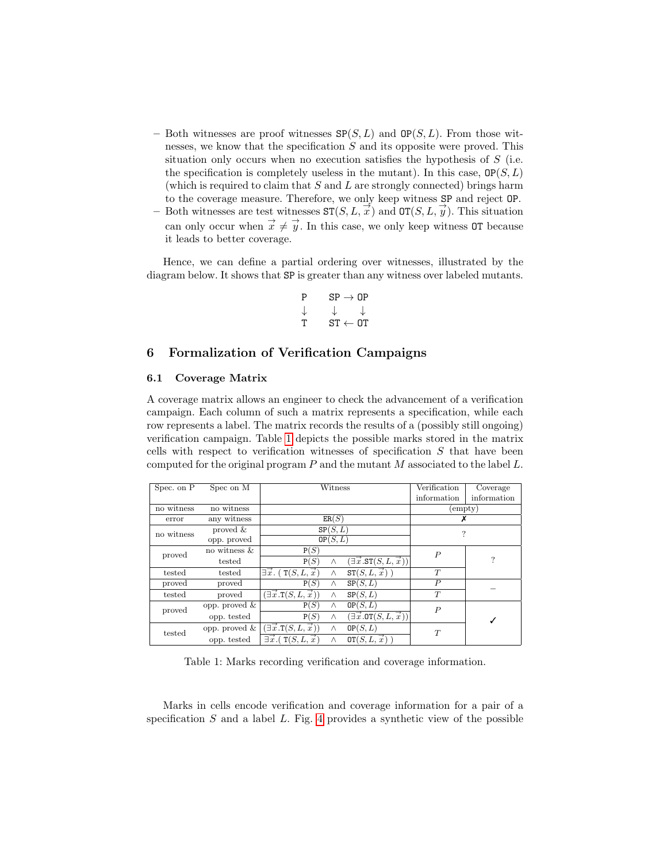- Both witnesses are proof witnesses  $SP(S, L)$  and  $OP(S, L)$ . From those witnesses, we know that the specification  $S$  and its opposite were proved. This situation only occurs when no execution satisfies the hypothesis of  $S$  (i.e. the specification is completely useless in the mutant). In this case,  $\mathsf{OP}(S, L)$ (which is required to claim that  $S$  and  $L$  are strongly connected) brings harm to the coverage measure. Therefore, we only keep witness SP and reject OP.
- Both witnesses are test witnesses  $ST(S, L, \vec{x})$  and  $OT(S, L, \vec{y})$ . This situation can only occur when  $\vec{x} \neq \vec{y}$ . In this case, we only keep witness **OT** because it leads to better coverage.

Hence, we can define a partial ordering over witnesses, illustrated by the diagram below. It shows that SP is greater than any witness over labeled mutants.

$$
\begin{array}{ccc} P & & SP \rightarrow OP \\ \downarrow & & \downarrow & \downarrow \\ T & & ST \leftarrow OT \end{array}
$$

# <span id="page-10-0"></span>6 Formalization of Verification Campaigns

# 6.1 Coverage Matrix

A coverage matrix allows an engineer to check the advancement of a verification campaign. Each column of such a matrix represents a specification, while each row represents a label. The matrix records the results of a (possibly still ongoing) verification campaign. Table [1](#page-10-1) depicts the possible marks stored in the matrix cells with respect to verification witnesses of specification S that have been computed for the original program  $P$  and the mutant  $M$  associated to the label  $L$ .

<span id="page-10-1"></span>

| Spec. on P | Spec on M        |                                                                   | Witness            | Verification                                                       | Coverage         |             |
|------------|------------------|-------------------------------------------------------------------|--------------------|--------------------------------------------------------------------|------------------|-------------|
|            |                  |                                                                   |                    |                                                                    | information      | information |
| no witness | no witness       |                                                                   |                    |                                                                    | $\rm(empty)$     |             |
| error      | any witness      |                                                                   | ER(S)              |                                                                    | х                |             |
| no witness | proved $\&$      |                                                                   | SP(S, L)           |                                                                    | ?                |             |
|            | opp. proved      |                                                                   | $\mathsf{OP}(S,L)$ |                                                                    |                  |             |
| proved     | no witness $\&$  | P(S)                                                              |                    |                                                                    | $\boldsymbol{P}$ |             |
|            | tested           | P(S)                                                              | Λ                  | $(\exists \overrightarrow{x}.\texttt{ST}(S,L,\overrightarrow{x}))$ |                  | ?           |
| tested     | tested           | $\exists \vec{x}$ . (T(S,L, $\vec{x}$ )                           | Λ                  | $ST(S, L, \overrightarrow{x})$                                     | T                |             |
| proved     | proved           | P(S)                                                              | Λ                  | SP(S, L)                                                           | $\boldsymbol{P}$ |             |
| tested     | proved           | $(\exists \overrightarrow{x}.T(S,L,\overrightarrow{x})$           | Λ                  | SP(S, L)                                                           | T                |             |
| proved     | opp. proved $\&$ | P(S)                                                              | Λ                  | OP(S, L)                                                           | $\overline{P}$   |             |
|            | opp. tested      | P(S)                                                              | Λ                  | $(\exists \overrightarrow{x}.$ OT $(S, L, \overrightarrow{x}))$    |                  |             |
| tested     | opp. proved $\&$ | $\overrightarrow{(\exists x)}.\mathsf{T}(S,L,\overrightarrow{x})$ | Λ                  | OP(S, L)                                                           | T                |             |
|            | opp. tested      | $\exists \vec{x}$ . (T $(S, L, \vec{x})$                          | Λ                  | $\overline{\text{OT}(S, L, \overrightarrow{x})}$                   |                  |             |

Table 1: Marks recording verification and coverage information.

Marks in cells encode verification and coverage information for a pair of a specification  $S$  and a label  $L$ . Fig. [4](#page-11-0) provides a synthetic view of the possible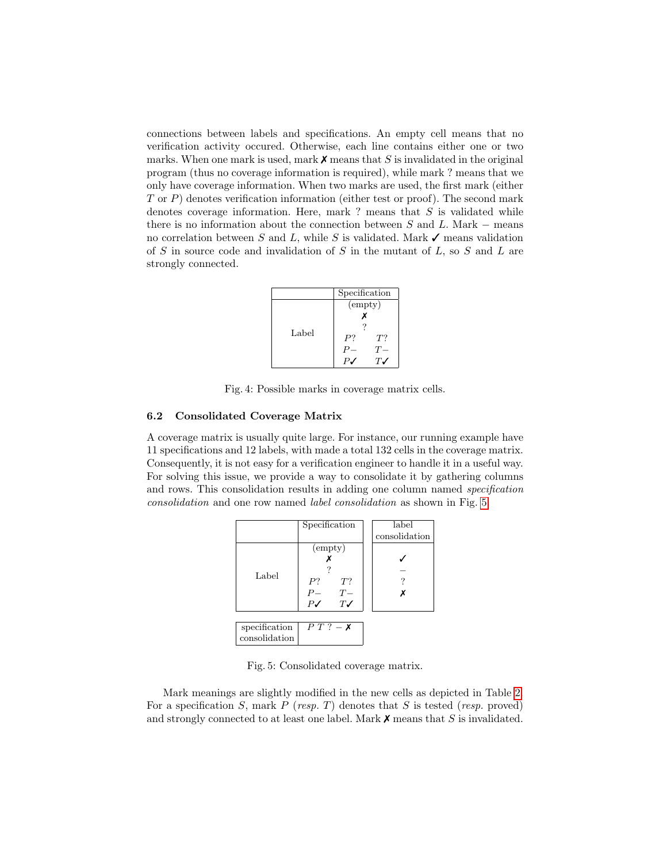connections between labels and specifications. An empty cell means that no verification activity occured. Otherwise, each line contains either one or two marks. When one mark is used, mark  $\boldsymbol{\chi}$  means that S is invalidated in the original program (thus no coverage information is required), while mark ? means that we only have coverage information. When two marks are used, the first mark (either  $T$  or  $P$ ) denotes verification information (either test or proof). The second mark denotes coverage information. Here, mark ? means that  $S$  is validated while there is no information about the connection between S and L. Mark – means no correlation between S and L, while S is validated. Mark  $\checkmark$  means validation of  $S$  in source code and invalidation of  $S$  in the mutant of  $L$ , so  $S$  and  $L$  are strongly connected.

<span id="page-11-0"></span>

|       |         | Specification |  |  |
|-------|---------|---------------|--|--|
|       | (empty) |               |  |  |
| Label |         |               |  |  |
|       |         |               |  |  |
|       | $P$ ?   | $T$ ?<br>$T-$ |  |  |
|       |         | T.I           |  |  |

Fig. 4: Possible marks in coverage matrix cells.

#### 6.2 Consolidated Coverage Matrix

A coverage matrix is usually quite large. For instance, our running example have 11 specifications and 12 labels, with made a total 132 cells in the coverage matrix. Consequently, it is not easy for a verification engineer to handle it in a useful way. For solving this issue, we provide a way to consolidate it by gathering columns and rows. This consolidation results in adding one column named specification consolidation and one row named label consolidation as shown in Fig. [5.](#page-11-1)

<span id="page-11-1"></span>

| Specification       | label         |
|---------------------|---------------|
|                     | consolidation |
| (empty)             |               |
|                     |               |
|                     |               |
| $P$ ?<br>$T$ ?      |               |
| $P T-$              |               |
| T<br>$P\mathcal{L}$ |               |
|                     |               |
| $PT$ ? $- X$        |               |
|                     |               |
|                     |               |

Fig. 5: Consolidated coverage matrix.

Mark meanings are slightly modified in the new cells as depicted in Table [2.](#page-12-0) For a specification S, mark P (resp. T) denotes that S is tested (resp. proved) and strongly connected to at least one label. Mark  $\chi$  means that S is invalidated.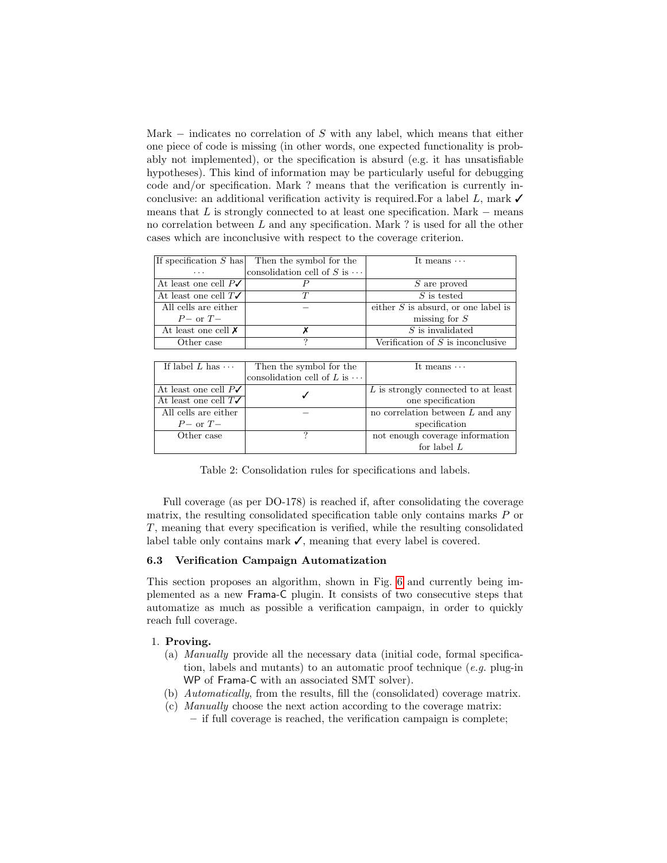Mark  $-$  indicates no correlation of S with any label, which means that either one piece of code is missing (in other words, one expected functionality is probably not implemented), or the specification is absurd (e.g. it has unsatisfiable hypotheses). This kind of information may be particularly useful for debugging code and/or specification. Mark ? means that the verification is currently inconclusive: an additional verification activity is required. For a label L, mark  $\checkmark$ means that L is strongly connected to at least one specification. Mark  $-$  means no correlation between L and any specification. Mark ? is used for all the other cases which are inconclusive with respect to the coverage criterion.

<span id="page-12-0"></span>

|                                  | If specification $S$ has Then the symbol for the | It means $\cdots$                     |  |
|----------------------------------|--------------------------------------------------|---------------------------------------|--|
| $\cdots$                         | consolidation cell of $S$ is $\cdots$            |                                       |  |
| At least one cell $P\mathcal{I}$ |                                                  | S are proved                          |  |
| At least one cell $T\mathcal{I}$ |                                                  | $S$ is tested                         |  |
| All cells are either             |                                                  | either $S$ is absurd, or one label is |  |
| $P-$ or $T-$                     |                                                  | missing for $S$                       |  |
| At least one cell $\chi$         |                                                  | $S$ is invalidated                    |  |
| Other case                       | ∍                                                | Verification of $S$ is inconclusive   |  |

| If label $L$ has $\cdots$        | Then the symbol for the             | It means $\cdots$                   |  |
|----------------------------------|-------------------------------------|-------------------------------------|--|
|                                  | consolidation cell of L is $\cdots$ |                                     |  |
| At least one cell $P\mathcal{V}$ |                                     | L is strongly connected to at least |  |
| At least one cell $T\mathcal{I}$ |                                     | one specification                   |  |
| All cells are either             |                                     | no correlation between $L$ and any  |  |
| $P-$ or $T-$                     |                                     | specification                       |  |
| Other case                       |                                     | not enough coverage information     |  |
|                                  |                                     | for label $L$                       |  |

Table 2: Consolidation rules for specifications and labels.

Full coverage (as per DO-178) is reached if, after consolidating the coverage matrix, the resulting consolidated specification table only contains marks P or T, meaning that every specification is verified, while the resulting consolidated label table only contains mark  $\checkmark$ , meaning that every label is covered.

#### <span id="page-12-1"></span>6.3 Verification Campaign Automatization

This section proposes an algorithm, shown in Fig. [6](#page-13-1) and currently being implemented as a new Frama-C plugin. It consists of two consecutive steps that automatize as much as possible a verification campaign, in order to quickly reach full coverage.

### 1. Proving.

- (a) Manually provide all the necessary data (initial code, formal specification, labels and mutants) to an automatic proof technique (e.g. plug-in WP of Frama-C with an associated SMT solver).
- (b) Automatically, from the results, fill the (consolidated) coverage matrix.
- (c) Manually choose the next action according to the coverage matrix: – if full coverage is reached, the verification campaign is complete;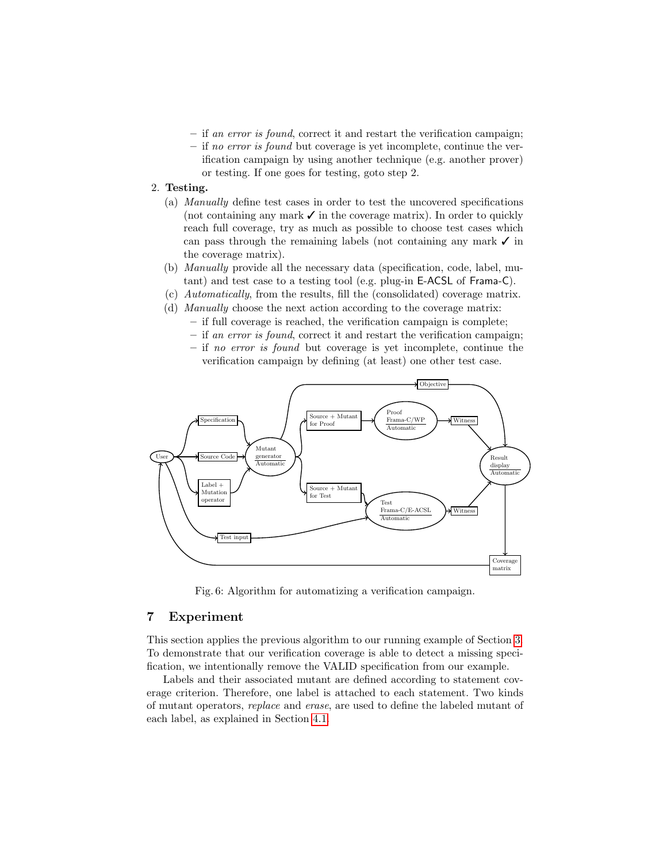- if an error is found, correct it and restart the verification campaign;
- if no error is found but coverage is yet incomplete, continue the verification campaign by using another technique (e.g. another prover) or testing. If one goes for testing, goto step 2.

# 2. Testing.

- (a) Manually define test cases in order to test the uncovered specifications (not containing any mark  $\checkmark$  in the coverage matrix). In order to quickly reach full coverage, try as much as possible to choose test cases which can pass through the remaining labels (not containing any mark  $\checkmark$  in the coverage matrix).
- (b) Manually provide all the necessary data (specification, code, label, mutant) and test case to a testing tool (e.g. plug-in E-ACSL of Frama-C).
- (c) Automatically, from the results, fill the (consolidated) coverage matrix.
- (d) Manually choose the next action according to the coverage matrix:
	- if full coverage is reached, the verification campaign is complete;
	- if an error is found, correct it and restart the verification campaign; – if no error is found but coverage is yet incomplete, continue the verification campaign by defining (at least) one other test case.

<span id="page-13-1"></span>

Fig. 6: Algorithm for automatizing a verification campaign.

# <span id="page-13-0"></span>7 Experiment

This section applies the previous algorithm to our running example of Section [3.](#page-3-0) To demonstrate that our verification coverage is able to detect a missing specification, we intentionally remove the VALID specification from our example.

Labels and their associated mutant are defined according to statement coverage criterion. Therefore, one label is attached to each statement. Two kinds of mutant operators, replace and erase, are used to define the labeled mutant of each label, as explained in Section [4.1.](#page-4-2)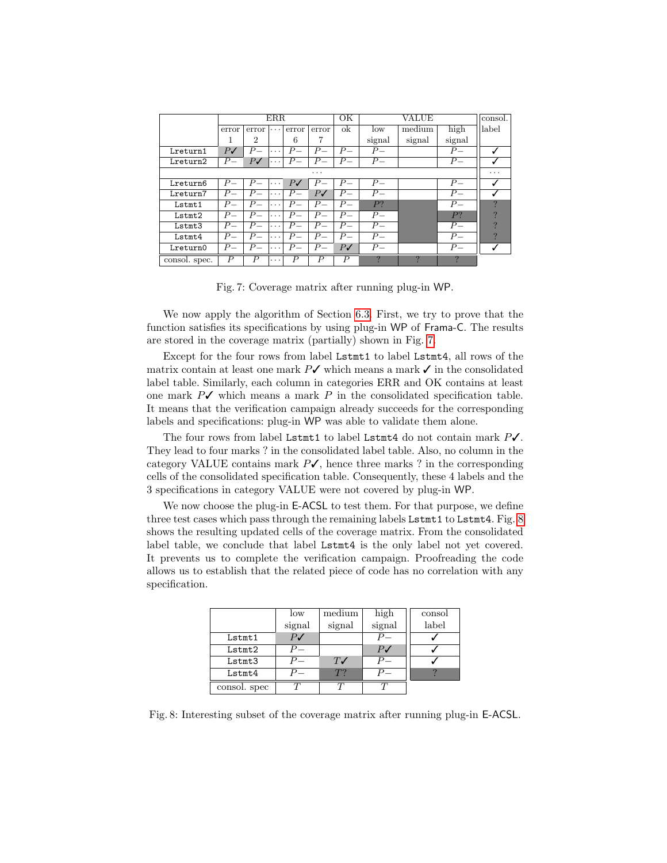<span id="page-14-0"></span>

|               |                |                | <b>ERR</b>              |                |                  | ОK             |               | VALUE    |                | consol.                  |
|---------------|----------------|----------------|-------------------------|----------------|------------------|----------------|---------------|----------|----------------|--------------------------|
|               | error          | error          | .                       | error          | error            | ok             | low           | medium   | high           | label                    |
|               | 1              | $\overline{2}$ |                         | 6              |                  |                | signal        | signal   | signal         |                          |
| Lreturn1      | $P\mathcal{I}$ | $_{P-}$        | $\cdots$                | $P-$           | $P-$             | $P-$           | $P-$          |          | $P-$           |                          |
| Lreturn2      | $P-$           | $P\mathcal{J}$ | $\cdots$                | $P-$           | $P-$             | $P-$           | $P-$          |          | $P-$           |                          |
|               |                |                |                         |                | .                |                |               |          |                | .                        |
| Lreturn6      | $P-$           | $P-$           | $\cdots$                | $P\mathcal{I}$ | $P-$             | $P-$           | $P-$          |          | $P-$           |                          |
| Lreturn7      | $P-$           | $P-$           | $\cdots$                | $P-$           | $P\mathcal{I}$   |                | $P-$          |          | $P-$           |                          |
| Lstmt1        | $P-$           | $P-$           | $\cdots$                | $P-$           | $P-$             | $P-$           | $P$ ?         |          | $P-$           | ?                        |
| Lstmt2        | $P-$           | $P-$           | $\cdots$                | $P-$           | $P-$             | $P-$           | $P-$          |          | $P$ ?          | 7                        |
| Lstmt3        | $P-$           | $P-$           | $\cdot$ $\cdot$ $\cdot$ | $P-$           | $P-$             | $P-$           | $\bar{P}-$    |          | $P-$           | $\overline{\mathcal{P}}$ |
| Lstmt4        | $P-$           | $P-$           | $\cdots$                | $P-$           | $P-$             | $P-$           | $P-$          |          | $P-$           | ?                        |
| Lreturn0      | $P-$           | $P-$           | $\cdot$ $\cdot$ $\cdot$ | $P-$           | $P-$             | $P\mathcal{I}$ | $P-$          |          | $P-$           |                          |
| consol. spec. | P              | P              | $\cdots$                | Р              | $\boldsymbol{P}$ | P              | $\mathcal{P}$ | $\Omega$ | $\overline{?}$ |                          |

Fig. 7: Coverage matrix after running plug-in WP.

We now apply the algorithm of Section [6.3.](#page-12-1) First, we try to prove that the function satisfies its specifications by using plug-in WP of Frama-C. The results are stored in the coverage matrix (partially) shown in Fig. [7.](#page-14-0)

Except for the four rows from label Lstmt1 to label Lstmt4, all rows of the matrix contain at least one mark  $P\mathcal{V}$  which means a mark  $\mathcal{V}$  in the consolidated label table. Similarly, each column in categories ERR and OK contains at least one mark  $P\mathcal{I}$  which means a mark P in the consolidated specification table. It means that the verification campaign already succeeds for the corresponding labels and specifications: plug-in WP was able to validate them alone.

The four rows from label Lstmt1 to label Lstmt4 do not contain mark P√. They lead to four marks ? in the consolidated label table. Also, no column in the category VALUE contains mark  $P\checkmark$ , hence three marks ? in the corresponding cells of the consolidated specification table. Consequently, these 4 labels and the 3 specifications in category VALUE were not covered by plug-in WP.

We now choose the plug-in **E-ACSL** to test them. For that purpose, we define three test cases which pass through the remaining labels Lstmt1 to Lstmt4. Fig. [8](#page-14-1) shows the resulting updated cells of the coverage matrix. From the consolidated label table, we conclude that label Lstmt4 is the only label not yet covered. It prevents us to complete the verification campaign. Proofreading the code allows us to establish that the related piece of code has no correlation with any specification.

<span id="page-14-1"></span>

|              | low            | medium         | high           | consol |
|--------------|----------------|----------------|----------------|--------|
|              | signal         | signal         | signal         | label  |
| Lstmt1       | $P\mathcal{I}$ |                | $P-$           |        |
| Lstmt2       | $P_{-}$        |                | $P\mathcal{I}$ |        |
| Lstmt3       | $P-$           | $T\mathcal{J}$ | $P-$           |        |
| Lstmt4       |                | $T$ ?          |                |        |
| consol. spec |                |                |                |        |

Fig. 8: Interesting subset of the coverage matrix after running plug-in E-ACSL.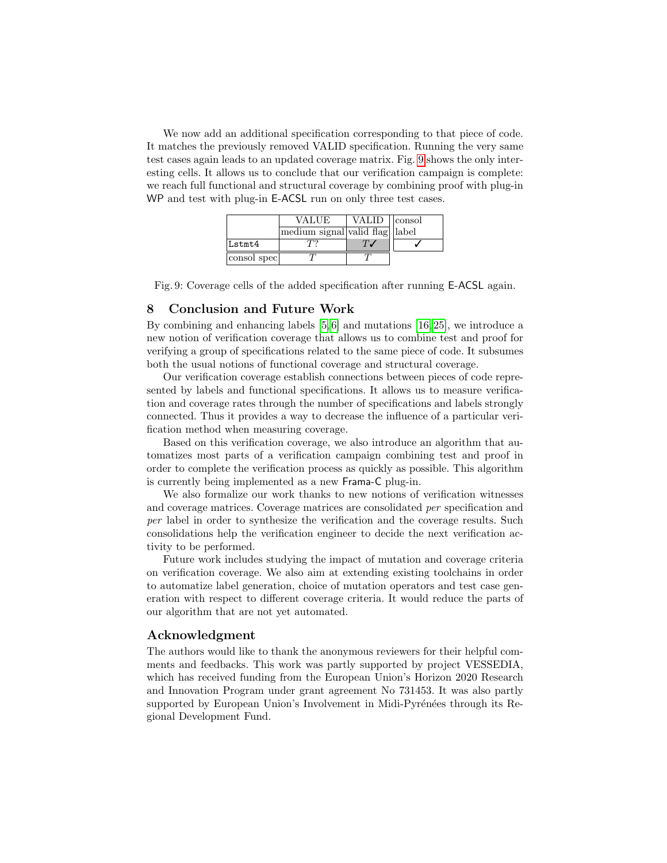We now add an additional specification corresponding to that piece of code. It matches the previously removed VALID specification. Running the very same test cases again leads to an updated coverage matrix. Fig. [9](#page-15-0) shows the only interesting cells. It allows us to conclude that our verification campaign is complete: we reach full functional and structural coverage by combining proof with plug-in WP and test with plug-in **E-ACSL** run on only three test cases.

|             | VALUE                           | VALID | consol |
|-------------|---------------------------------|-------|--------|
|             | medium signal valid flag llabel |       |        |
| Lstmt4      |                                 |       |        |
| consol spec |                                 |       |        |

<span id="page-15-0"></span>Fig. 9: Coverage cells of the added specification after running E-ACSL again.

# 8 Conclusion and Future Work

By combining and enhancing labels [\[5,](#page-16-9) [6\]](#page-16-10) and mutations [\[16,](#page-16-12) [25\]](#page-17-9), we introduce a new notion of verification coverage that allows us to combine test and proof for verifying a group of specifications related to the same piece of code. It subsumes both the usual notions of functional coverage and structural coverage.

Our verification coverage establish connections between pieces of code represented by labels and functional specifications. It allows us to measure verification and coverage rates through the number of specifications and labels strongly connected. Thus it provides a way to decrease the influence of a particular verification method when measuring coverage.

Based on this verification coverage, we also introduce an algorithm that automatizes most parts of a verification campaign combining test and proof in order to complete the verification process as quickly as possible. This algorithm is currently being implemented as a new Frama-C plug-in.

We also formalize our work thanks to new notions of verification witnesses and coverage matrices. Coverage matrices are consolidated per specification and per label in order to synthesize the verification and the coverage results. Such consolidations help the verification engineer to decide the next verification activity to be performed.

Future work includes studying the impact of mutation and coverage criteria on verification coverage. We also aim at extending existing toolchains in order to automatize label generation, choice of mutation operators and test case generation with respect to different coverage criteria. It would reduce the parts of our algorithm that are not yet automated.

# Acknowledgment

The authors would like to thank the anonymous reviewers for their helpful comments and feedbacks. This work was partly supported by project VESSEDIA, which has received funding from the European Union's Horizon 2020 Research and Innovation Program under grant agreement No 731453. It was also partly supported by European Union's Involvement in Midi-Pyrénées through its Regional Development Fund.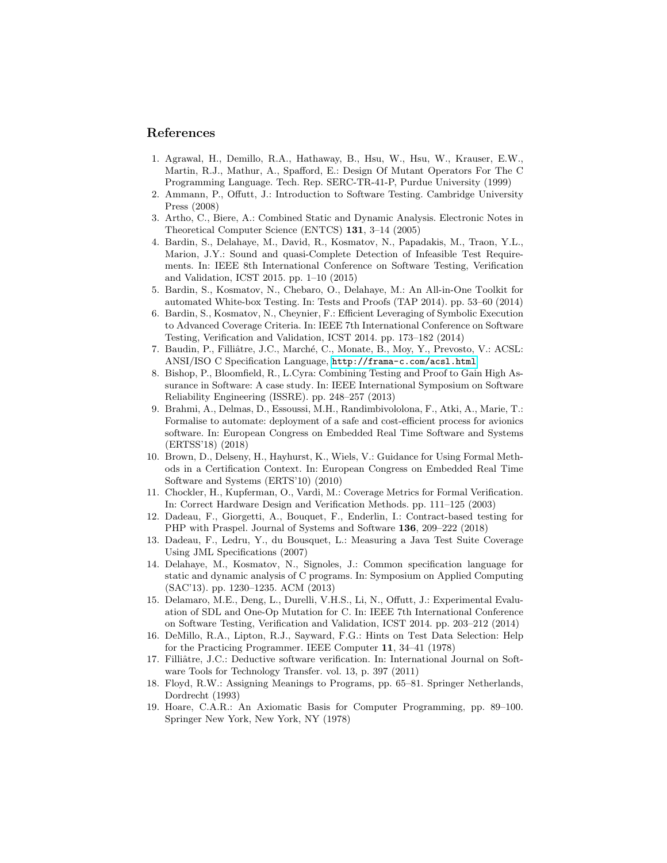# References

- <span id="page-16-13"></span>1. Agrawal, H., Demillo, R.A., Hathaway, B., Hsu, W., Hsu, W., Krauser, E.W., Martin, R.J., Mathur, A., Spafford, E.: Design Of Mutant Operators For The C Programming Language. Tech. Rep. SERC-TR-41-P, Purdue University (1999)
- <span id="page-16-5"></span>2. Ammann, P., Offutt, J.: Introduction to Software Testing. Cambridge University Press (2008)
- <span id="page-16-7"></span>3. Artho, C., Biere, A.: Combined Static and Dynamic Analysis. Electronic Notes in Theoretical Computer Science (ENTCS) 131, 3–14 (2005)
- <span id="page-16-11"></span>4. Bardin, S., Delahaye, M., David, R., Kosmatov, N., Papadakis, M., Traon, Y.L., Marion, J.Y.: Sound and quasi-Complete Detection of Infeasible Test Requirements. In: IEEE 8th International Conference on Software Testing, Verification and Validation, ICST 2015. pp. 1–10 (2015)
- <span id="page-16-9"></span>5. Bardin, S., Kosmatov, N., Chebaro, O., Delahaye, M.: An All-in-One Toolkit for automated White-box Testing. In: Tests and Proofs (TAP 2014). pp. 53–60 (2014)
- <span id="page-16-10"></span>6. Bardin, S., Kosmatov, N., Cheynier, F.: Efficient Leveraging of Symbolic Execution to Advanced Coverage Criteria. In: IEEE 7th International Conference on Software Testing, Verification and Validation, ICST 2014. pp. 173–182 (2014)
- <span id="page-16-16"></span>7. Baudin, P., Filliâtre, J.C., Marché, C., Monate, B., Moy, Y., Prevosto, V.: ACSL: ANSI/ISO C Specification Language, <http://frama-c.com/acsl.html>
- <span id="page-16-8"></span>8. Bishop, P., Bloomfield, R., L.Cyra: Combining Testing and Proof to Gain High Assurance in Software: A case study. In: IEEE International Symposium on Software Reliability Engineering (ISSRE). pp. 248–257 (2013)
- <span id="page-16-0"></span>9. Brahmi, A., Delmas, D., Essoussi, M.H., Randimbivololona, F., Atki, A., Marie, T.: Formalise to automate: deployment of a safe and cost-efficient process for avionics software. In: European Congress on Embedded Real Time Software and Systems (ERTSS'18) (2018)
- <span id="page-16-6"></span>10. Brown, D., Delseny, H., Hayhurst, K., Wiels, V.: Guidance for Using Formal Methods in a Certification Context. In: European Congress on Embedded Real Time Software and Systems (ERTS'10) (2010)
- <span id="page-16-15"></span>11. Chockler, H., Kupferman, O., Vardi, M.: Coverage Metrics for Formal Verification. In: Correct Hardware Design and Verification Methods. pp. 111–125 (2003)
- <span id="page-16-3"></span>12. Dadeau, F., Giorgetti, A., Bouquet, F., Enderlin, I.: Contract-based testing for PHP with Praspel. Journal of Systems and Software 136, 209–222 (2018)
- <span id="page-16-4"></span>13. Dadeau, F., Ledru, Y., du Bousquet, L.: Measuring a Java Test Suite Coverage Using JML Specifications (2007)
- 14. Delahaye, M., Kosmatov, N., Signoles, J.: Common specification language for static and dynamic analysis of C programs. In: Symposium on Applied Computing (SAC'13). pp. 1230–1235. ACM (2013)
- <span id="page-16-14"></span>15. Delamaro, M.E., Deng, L., Durelli, V.H.S., Li, N., Offutt, J.: Experimental Evaluation of SDL and One-Op Mutation for C. In: IEEE 7th International Conference on Software Testing, Verification and Validation, ICST 2014. pp. 203–212 (2014)
- <span id="page-16-12"></span>16. DeMillo, R.A., Lipton, R.J., Sayward, F.G.: Hints on Test Data Selection: Help for the Practicing Programmer. IEEE Computer 11, 34–41 (1978)
- <span id="page-16-1"></span>17. Filliâtre, J.C.: Deductive software verification. In: International Journal on Software Tools for Technology Transfer. vol. 13, p. 397 (2011)
- 18. Floyd, R.W.: Assigning Meanings to Programs, pp. 65–81. Springer Netherlands, Dordrecht (1993)
- <span id="page-16-2"></span>19. Hoare, C.A.R.: An Axiomatic Basis for Computer Programming, pp. 89–100. Springer New York, New York, NY (1978)